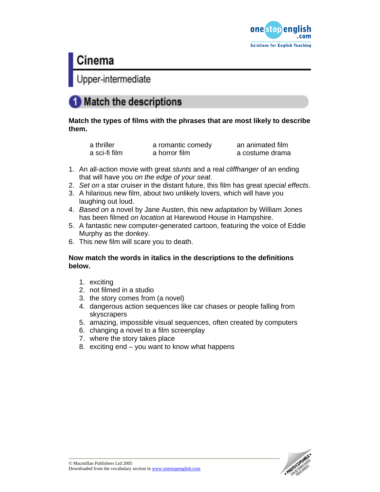

# Cinema

Upper-intermediate

### **Match the descriptions**

**Match the types of films with the phrases that are most likely to describe them.** 

| a thriller    | a romantic comedy | an animated film |
|---------------|-------------------|------------------|
| a sci-fi film | a horror film     | a costume drama  |

- 1. An all-action movie with great *stunts* and a real *cliffhanger* of an ending that will have you *on the edge of your seat*.
- 2. *Set on* a star cruiser in the distant future, this film has great *special effects*.
- 3. A hilarious new film, about two unlikely lovers, which will have you laughing out loud.
- 4. *Based on* a novel by Jane Austen, this new *adaptation* by William Jones has been filmed *on location* at Harewood House in Hampshire.
- 5. A fantastic new computer-generated cartoon, featuring the voice of Eddie Murphy as the donkey.
- 6. This new film will scare you to death.

#### **Now match the words in italics in the descriptions to the definitions below.**

- 1. exciting
- 2. not filmed in a studio
- 3. the story comes from (a novel)
- 4. dangerous action sequences like car chases or people falling from skyscrapers
- 5. amazing, impossible visual sequences, often created by computers
- 6. changing a novel to a film screenplay
- 7. where the story takes place
- 8. exciting end you want to know what happens

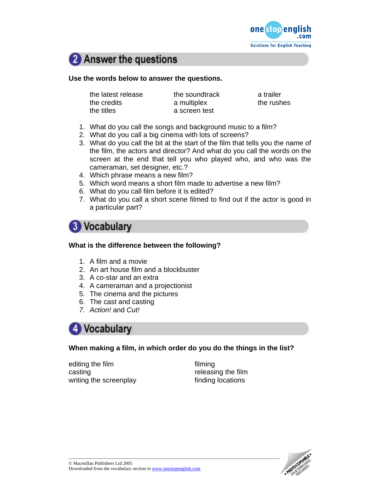



#### **Use the words below to answer the questions.**

the latest release the soundtrack a trailer the credits a multiplex the rushes the titles a screen test

- 1. What do you call the songs and background music to a film?
- 2. What do you call a big cinema with lots of screens?
- 3. What do you call the bit at the start of the film that tells you the name of the film, the actors and director? And what do you call the words on the screen at the end that tell you who played who, and who was the cameraman, set designer, etc.?
- 4. Which phrase means a new film?
- 5. Which word means a short film made to advertise a new film?
- 6. What do you call film before it is edited?
- 7. What do you call a short scene filmed to find out if the actor is good in a particular part?

**3** Vocabulary

#### **What is the difference between the following?**

- 1. A film and a movie
- 2. An art house film and a blockbuster
- 3. A co-star and an extra
- 4. A cameraman and a projectionist
- 5. The cinema and the pictures
- 6. The cast and casting
- *7. Action!* and *Cut!*



#### **When making a film, in which order do you do the things in the list?**

editing the film **filming** casting releasing the film writing the screenplay finding locations

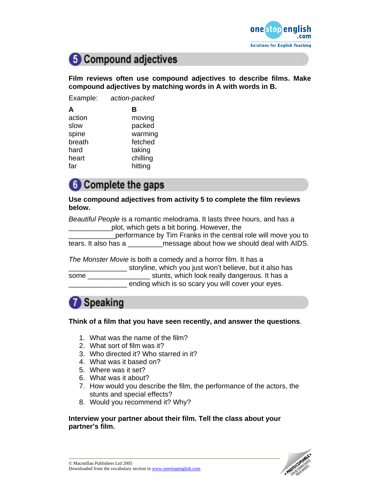



**Film reviews often use compound adjectives to describe films. Make compound adjectives by matching words in A with words in B.** 

| Example: | action-packed |  |
|----------|---------------|--|
| A        | в             |  |
| action   | moving        |  |
| slow     | packed        |  |
| spine    | warming       |  |
| breath   | fetched       |  |
| hard     | taking        |  |
| heart    | chilling      |  |
| far      | hitting       |  |
|          |               |  |

### **6** Complete the gaps

**Use compound adjectives from activity 5 to complete the film reviews below.** 

*Beautiful People* is a romantic melodrama. It lasts three hours, and has a \_\_\_\_\_\_\_\_\_\_\_plot, which gets a bit boring. However, the performance by Tim Franks in the central role will move you to

tears. It also has a \_\_\_\_\_\_\_\_\_message about how we should deal with AIDS.

*The Monster Movie* is both a comedy and a horror film. It has a storyline, which you just won't believe, but it also has some \_\_\_\_\_\_\_\_\_\_\_\_\_\_\_\_ stunts, which look really dangerous. It has a ending which is so scary you will cover your eyes.

## Speaking

#### **Think of a film that you have seen recently, and answer the questions**.

- 1. What was the name of the film?
- 2. What sort of film was it?
- 3. Who directed it? Who starred in it?
- 4. What was it based on?
- 5. Where was it set?
- 6. What was it about?
- 7. How would you describe the film, the performance of the actors, the stunts and special effects?
- 8. Would you recommend it? Why?

#### **Interview your partner about their film. Tell the class about your partner's film.**

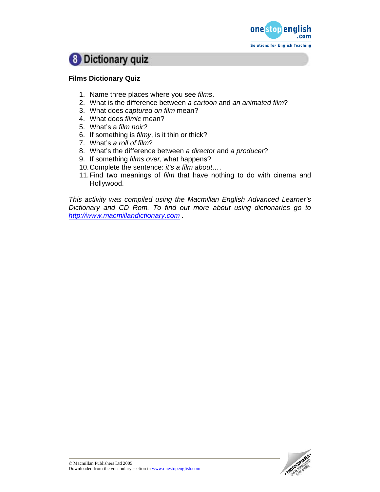



#### **Films Dictionary Quiz**

- 1. Name three places where you see *films*.
- 2. What is the difference between *a cartoon* and *an animated film*?
- 3. What does *captured on film* mean?
- 4. What does *filmic* mean?
- 5. What's a *film noir?*
- 6. If something is *filmy*, is it thin or thick?
- 7. What's *a roll of film*?
- 8. What's the difference between *a director* and *a producer*?
- 9. If something *films over*, what happens?
- 10. Complete the sentence: *it's a film about…*.
- 11. Find two meanings of *film* that have nothing to do with cinema and Hollywood.

*This activity was compiled using the Macmillan English Advanced Learner's Dictionary and CD Rom. To find out more about using dictionaries go to http://www.macmillandictionary.com .* 

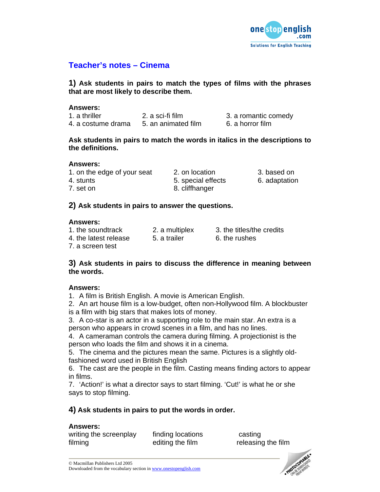

### **Teacher's notes – Cinema**

#### **1) Ask students in pairs to match the types of films with the phrases that are most likely to describe them.**

#### **Answers:**

| 1. a thriller      | 2. a sci-fi film    | 3. a romantic comedy |
|--------------------|---------------------|----------------------|
| 4. a costume drama | 5. an animated film | 6. a horror film     |

#### **Ask students in pairs to match the words in italics in the descriptions to the definitions.**

#### **Answers:**

| 1. on the edge of your seat | 2. on location     | 3. based on   |
|-----------------------------|--------------------|---------------|
| 4. stunts                   | 5. special effects | 6. adaptation |
| 7. set on                   | 8. cliffhanger     |               |

#### **2) Ask students in pairs to answer the questions.**

#### **Answers:**

| 1. the soundtrack     | 2. a multiplex | 3. the titles/the credits |
|-----------------------|----------------|---------------------------|
| 4. the latest release | 5. a trailer   | 6. the rushes             |
| 7. a screen test      |                |                           |

#### **3) Ask students in pairs to discuss the difference in meaning between the words.**

#### **Answers:**

1. A film is British English. A movie is American English.

2. An art house film is a low-budget, often non-Hollywood film. A blockbuster is a film with big stars that makes lots of money.

3. A co-star is an actor in a supporting role to the main star. An extra is a person who appears in crowd scenes in a film, and has no lines.

4. A cameraman controls the camera during filming. A projectionist is the person who loads the film and shows it in a cinema.

5. The cinema and the pictures mean the same. Pictures is a slightly oldfashioned word used in British English

6. The cast are the people in the film. Casting means finding actors to appear in films.

7. 'Action!' is what a director says to start filming. 'Cut!' is what he or she says to stop filming.

#### **4) Ask students in pairs to put the words in order.**

#### **Answers:**

writing the screenplay finding locations casting filming editing the film releasing the film